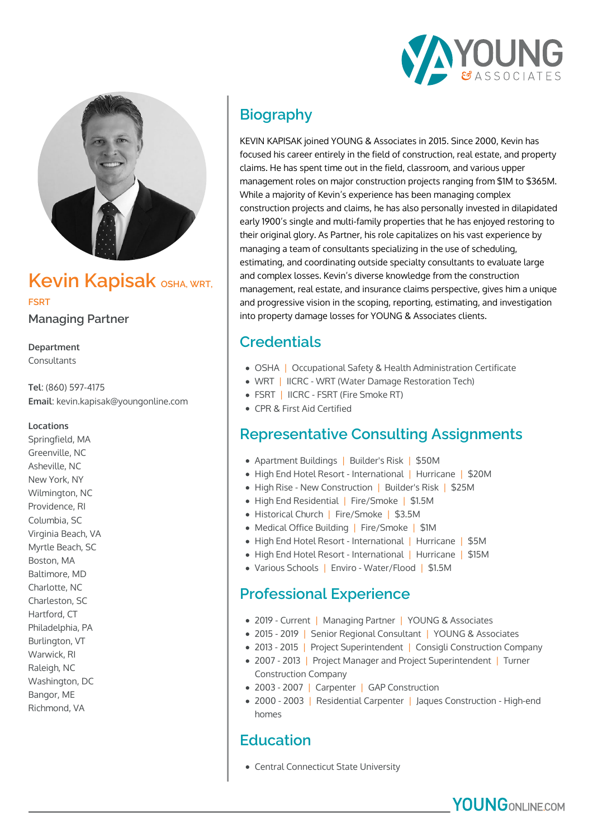



# **Kevin Kapisak OSHA, WRT, FSRT**

**Managing Partner**

**Department** Consultants

**Tel**: (860) 597-4175 **Email**: kevin.kapisak@youngonline.com

#### **Locations**

Springfield, MA Greenville, NC Asheville, NC New York, NY Wilmington, NC Providence, RI Columbia, SC Virginia Beach, VA Myrtle Beach, SC Boston, MA Baltimore, MD Charlotte, NC Charleston, SC Hartford, CT Philadelphia, PA Burlington, VT Warwick, RI Raleigh, NC Washington, DC Bangor, ME Richmond, VA

# **Biography**

KEVIN KAPISAK joined YOUNG & Associates in 2015. Since 2000, Kevin has focused his career entirely in the field of construction, real estate, and property claims. He has spent time out in the field, classroom, and various upper management roles on major construction projects ranging from \$1M to \$365M. While a majority of Kevin's experience has been managing complex construction projects and claims, he has also personally invested in dilapidated early 1900's single and multi-family properties that he has enjoyed restoring to their original glory. As Partner, his role capitalizes on his vast experience by managing a team of consultants specializing in the use of scheduling, estimating, and coordinating outside specialty consultants to evaluate large and complex losses. Kevin's diverse knowledge from the construction management, real estate, and insurance claims perspective, gives him a unique and progressive vision in the scoping, reporting, estimating, and investigation into property damage losses for YOUNG & Associates clients.

# **Credentials**

- OSHA | Occupational Safety & Health Administration Certificate
- WRT | IICRC WRT (Water Damage Restoration Tech)
- FSRT | IICRC FSRT (Fire Smoke RT)
- CPR & First Aid Certified

## **Representative Consulting Assignments**

- Apartment Buildings | Builder's Risk | \$50M
- High End Hotel Resort International | Hurricane | \$20M
- High Rise New Construction | Builder's Risk | \$25M
- High End Residential | Fire/Smoke | \$1.5M
- Historical Church | Fire/Smoke | \$3.5M
- Medical Office Building | Fire/Smoke | \$1M
- High End Hotel Resort International | Hurricane | \$5M
- High End Hotel Resort International | Hurricane | \$15M
- Various Schools | Enviro Water/Flood | \$1.5M

### **Professional Experience**

- 2019 Current | Managing Partner | YOUNG & Associates
- 2015 2019 | Senior Regional Consultant | YOUNG & Associates
- 2013 2015 | Project Superintendent | Consigli Construction Company
- 2007 2013 | Project Manager and Project Superintendent | Turner Construction Company
- 2003 2007 | Carpenter | GAP Construction
- 2000 2003 | Residential Carpenter | Jaques Construction High-end homes

## **Education**

Central Connecticut State University